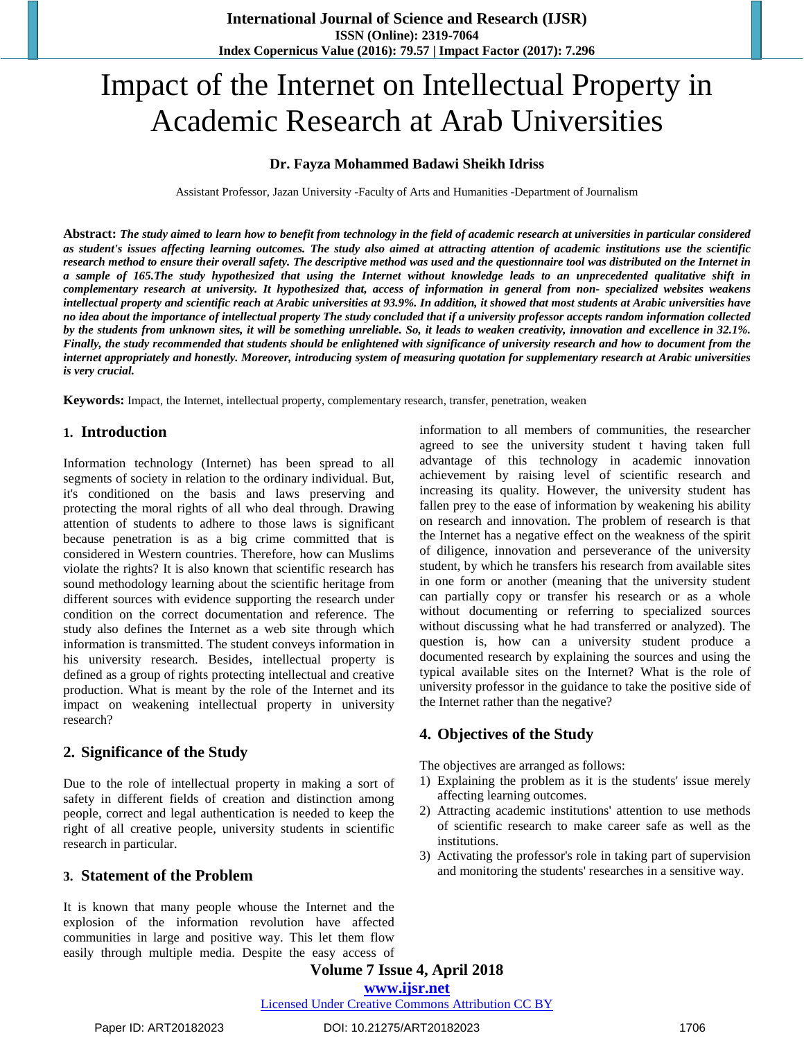# Impact of the Internet on Intellectual Property in Academic Research at Arab Universities

## **Dr. Fayza Mohammed Badawi Sheikh Idriss**

Assistant Professor, Jazan University -Faculty of Arts and Humanities -Department of Journalism

Abstract: The study aimed to learn how to benefit from technology in the field of academic research at universities in particular considered as student's issues affecting learning outcomes. The study also aimed at attracting attention of academic institutions use the scientific research method to ensure their overall safety. The descriptive method was used and the questionnaire tool was distributed on the Internet in a sample of 165. The study hypothesized that using the Internet without knowledge leads to an unprecedented qualitative shift in complementary research at university. It hypothesized that, access of information in general from non- specialized websites weakens intellectual property and scientific reach at Arabic universities at 93.9%. In addition, it showed that most students at Arabic universities have no idea about the importance of intellectual property The study concluded that if a university professor accepts random information collected by the students from unknown sites, it will be something unreliable. So, it leads to weaken creativity, innovation and excellence in 32.1%. Finally, the study recommended that students should be enlightened with significance of university research and how to document from the internet appropriately and honestly. Moreover, introducing system of measuring quotation for supplementary research at Arabic universities *is very crucial.*

**Keywords:** Impact, the Internet, intellectual property, complementary research, transfer, penetration, weaken

## **1. Introduction**

Information technology (Internet) has been spread to all segments of society in relation to the ordinary individual. But, it's conditioned on the basis and laws preserving and protecting the moral rights of all who deal through. Drawing attention of students to adhere to those laws is significant because penetration is as a big crime committed that is considered in Western countries. Therefore, how can Muslims violate the rights? It is also known that scientific research has sound methodology learning about the scientific heritage from different sources with evidence supporting the research under condition on the correct documentation and reference. The study also defines the Internet as a web site through which information is transmitted. The student conveys information in his university research. Besides, intellectual property is defined as a group of rights protecting intellectual and creative production. What is meant by the role of the Internet and its impact on weakening intellectual property in university research?

# **2. Significance of the Study**

Due to the role of intellectual property in making a sort of safety in different fields of creation and distinction among people, correct and legal authentication is needed to keep the right of all creative people, university students in scientific research in particular.

### **3. Statement of the Problem**

It is known that many people whouse the Internet and the explosion of the information revolution have affected communities in large and positive way. This let them flow easily through multiple media. Despite the easy access of

information to all members of communities, the researcher agreed to see the university student t having taken full advantage of this technology in academic innovation achievement by raising level of scientific research and increasing its quality. However, the university student has fallen prey to the ease of information by weakening his ability on research and innovation. The problem of research is that the Internet has a negative effect on the weakness of the spirit of diligence, innovation and perseverance of the university student, by which he transfers his research from available sites in one form or another (meaning that the university student can partially copy or transfer his research or as a whole without documenting or referring to specialized sources without discussing what he had transferred or analyzed). The question is, how can a university student produce a documented research by explaining the sources and using the typical available sites on the Internet? What is the role of university professor in the guidance to take the positive side of the Internet rather than the negative?

# **4. Objectives of the Study**

The objectives are arranged as follows:

- 1) Explaining the problem as it is the students' issue merely affecting learning outcomes.
- 2) Attracting academic institutions' attention to use methods of scientific research to make career safe as well as the institutions.
- 3) Activating the professor's role in taking part of supervision and monitoring the students' researches in a sensitive way.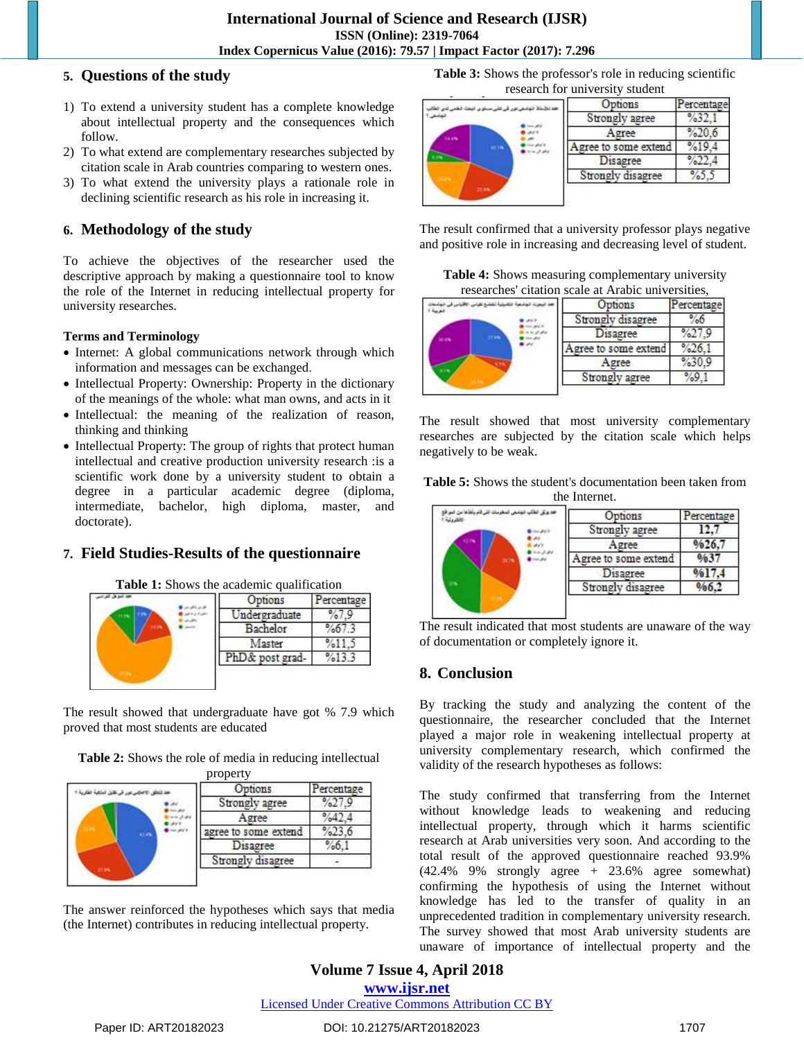# **5. Questions of the study**

- 1) To extend a university student has a complete knowledge about intellectual property and the consequences which follow.
- 2) To what extend are complementary researches subjected by citation scale in Arab countries comparing to western ones.
- 3) To what extend the university plays a rationale role in declining scientific research as his role in increasing it.

# **6. Methodology of the study**

To achieve the objectives of the researcher used the descriptive approach by making a questionnaire tool to know the role of the Internet in reducing intellectual property for university researches.

# **Terms and Terminology**

- Internet: A global communications network through which information and messages can be exchanged.
- Intellectual Property: Ownership: Property in the dictionary of the meanings of the whole: what man owns, and acts in it
- Intellectual: the meaning of the realization of reason, thinking and thinking
- Intellectual Property: The group of rights that protect human intellectual and creative production university research :is a scientific work done by a university student to obtain a degree in a particular academic degree (diploma, intermediate, bachelor, high diploma, master, and doctorate).

# **7. Field Studies-Results of the questionnaire**

**Table 1:** Shows the academic qualification



The result showed that undergraduate have got % 7.9 which proved that most students are educated

**Table 2:** Shows the role of media in reducing intellectual property

|      | Options              | ercentage |
|------|----------------------|-----------|
|      | Strongly agree       |           |
| a in | Agree                |           |
|      | agree to some extend |           |
|      | Disagree             |           |
|      | Strongly disagree    |           |

The answer reinforced the hypotheses which says that media (the Internet) contributes in reducing intellectual property.

**Table 3:** Shows the professor's role in reducing scientific research for university student



The result confirmed that a university professor plays negative and positive role in increasing and decreasing level of student.

**Table 4:** Shows measuring complementary university researches' citation scale at Arabic universities,

|  | Options              | Percentage |
|--|----------------------|------------|
|  | Strongly disagree    | 760        |
|  | Disagree             | 70L1       |
|  | Agree to some extend | %26        |
|  | Agree                | $\%30.$    |
|  | Strongly agree       |            |

The result showed that most university complementary researches are subjected by the citation scale which helps negatively to be weak.

| <b>Table 5:</b> Shows the student's documentation been taken from |  |
|-------------------------------------------------------------------|--|
| the Internet.                                                     |  |

| Options              | Percentage |
|----------------------|------------|
| Strongly agree       |            |
| Agree                | %26.7      |
| Agree to some extend | %37        |
| Disagree             | %17.4      |
| Strongly disagree    |            |

The result indicated that most students are unaware of the way of documentation or completely ignore it.

# **8. Conclusion**

By tracking the study and analyzing the content of the questionnaire, the researcher concluded that the Internet played a major role in weakening intellectual property at university complementary research, which confirmed the validity of the research hypotheses as follows:

The study confirmed that transferring from the Internet without knowledge leads to weakening and reducing intellectual property, through which it harms scientific research at Arab universities very soon. And according to the total result of the approved questionnaire reached 93.9%  $(42.4\%$  9% strongly agree + 23.6% agree somewhat) confirming the hypothesis of using the Internet without knowledge has led to the transfer of quality in an unprecedented tradition in complementary university research. The survey showed that most Arab university students are unaware of importance of intellectual property and the

# **Volume 7 Issue 4, April 2018 <www.ijsr.net>** [Licensed Under Creative Commons Attribution CC BY](http://creativecommons.org/licenses/by/4.0/)